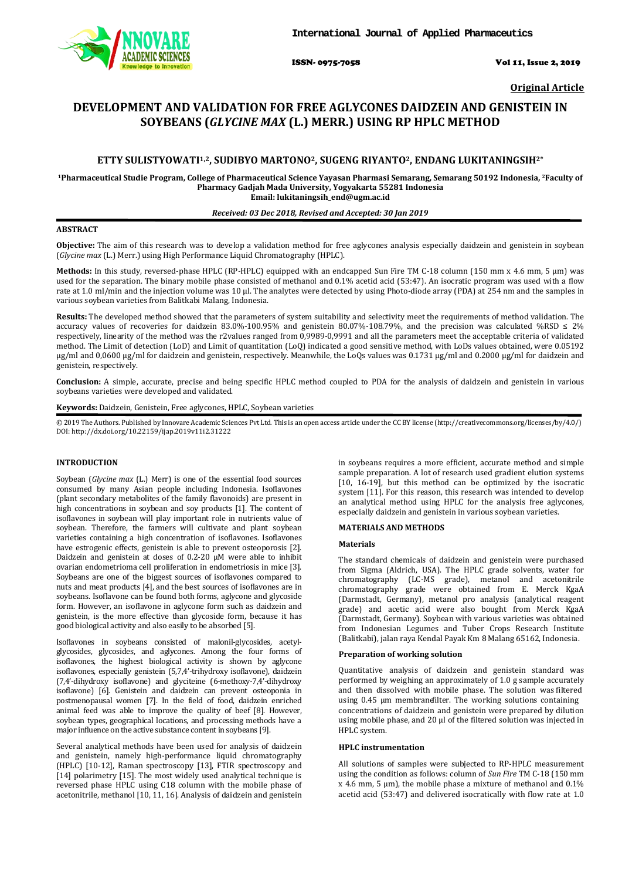

ISSN- 0975-7058 Vol 11, Issue 2, 2019

**Original Article**

# **DEVELOPMENT AND VALIDATION FOR FREE AGLYCONES DAIDZEIN AND GENISTEIN IN SOYBEANS (***GLYCINE MAX* **(L.) MERR.) USING RP HPLC METHOD**

# **ETTY SULISTYOWATI1,2, SUDIBYO MARTONO2, SUGENG RIYANTO2, ENDANG LUKITANINGSIH2\***

**1Pharmaceutical Studie Program, College of Pharmaceutical Science Yayasan Pharmasi Semarang, Semarang 50192 Indonesia, 2 Faculty of Pharmacy Gadjah Mada University, Yogyakarta 55281 Indonesia Email: lukitaningsih\_end@ugm.ac.id**

### *Received: 03 Dec 2018, Revised and Accepted: 30 Jan 2019*

# **ABSTRACT**

**Objective:** The aim of this research was to develop a validation method for free aglycones analysis especially daidzein and genistein in soybean (*Glycine max* (L.) Merr.) using High Performance Liquid Chromatography (HPLC).

**Methods:** In this study, reversed-phase HPLC (RP-HPLC) equipped with an endcapped Sun Fire TM C-18 column (150 mm x 4.6 mm, 5 μm) was used for the separation. The binary mobile phase consisted of methanol and 0.1% acetid acid (53:47). An isocratic program was used with a flow rate at 1.0 ml/min and the injection volume was 10 µl. The analytes were detected by using Photo-diode array (PDA) at 254 nm and the samples in various soybean varieties from Balitkabi Malang, Indonesia.

**Results:** The developed method showed that the parameters of system suitability and selectivity meet the requirements of method validation. The accuracy values of recoveries for daidzein 83.0%-100.95% and genistein 80.07%-108.79%, and the precision was calculated %RSD  $\leq 2\%$ respectively, linearity of the method was the r2values ranged from 0,9989-0,9991 and all the parameters meet the acceptable criteria of validated method. The Limit of detection (LoD) and Limit of quantitation (LoQ) indicated a good sensitive method, with LoDs values obtained, were 0.05192 μg/ml and 0,0600 μg/ml for daidzein and genistein, respectively. Meanwhile, the LoQs values was 0.1731 μg/ml and 0.2000 μg/ml for daidzein and genistein, respectively.

**Conclusion:** A simple, accurate, precise and being specific HPLC method coupled to PDA for the analysis of daidzein and genistein in various soybeans varieties were developed and validated.

**Keywords:** Daidzein, Genistein, Free aglycones, HPLC, Soybean varieties

© 2019 The Authors. Published by Innovare Academic Sciences Pvt Ltd. This is an open access article under the CC BY license [\(http://creativecommons.org/licenses/by/4.0/\)](http://creativecommons.org/licenses/by/4.0/) DOI: http://dx.doi.org/10.22159/ijap.2019v11i2.31222

# **INTRODUCTION**

Soybean (*Glycine max* (L.) Merr) is one of the essential food sources consumed by many Asian people including Indonesia. Isoflavones (plant secondary metabolites of the family flavonoids) are present in high concentrations in soybean and soy products [1]. The content of isoflavones in soybean will play important role in nutrients value of soybean. Therefore, the farmers will cultivate and plant soybean varieties containing a high concentration of isoflavones. Isoflavones have estrogenic effects, genistein is able to prevent osteoporosis [2]. Daidzein and genistein at doses of 0.2-20  $\mu$ M were able to inhibit ovarian endometrioma cell proliferation in endometriosis in mice [3]. Soybeans are one of the biggest sources of isoflavones compared to nuts and meat products [4], and the best sources of isoflavones are in soybeans. Isoflavone can be found both forms, aglycone and glycoside form. However, an isoflavone in aglycone form such as daidzein and genistein, is the more effective than glycoside form, because it has good biological activity and also easily to be absorbed [5].

Isoflavones in soybeans consisted of malonil-glycosides, acetylglycosides, glycosides, and aglycones. Among the four forms of isoflavones, the highest biological activity is shown by aglycone isoflavones, especially genistein (5,7,4'-trihydroxy isoflavone), daidzein (7,4'-dihydroxy isoflavone) and glyciteine (6-methoxy-7,4'-dihydroxy isoflavone) [6]. Genistein and daidzein can prevent osteoponia in postmenopausal women [7]. In the field of food, daidzein enriched animal feed was able to improve the quality of beef [8]. However, soybean types, geographical locations, and processing methods have a major influence on the active substance content in soybeans [9].

Several analytical methods have been used for analysis of daidzein and genistein, namely high-performance liquid chromatography (HPLC) [10-12], Raman spectroscopy [13], FTIR spectroscopy and [14] polarimetry [15]. The most widely used analytical technique is reversed phase HPLC using C18 column with the mobile phase of acetonitrile, methanol [10, 11, 16]. Analysis of daidzein and genistein

in soybeans requires a more efficient, accurate method and simple sample preparation. A lot of research used gradient elution systems [10, 16-19], but this method can be optimized by the isocratic system [11]. For this reason, this research was intended to develop an analytical method using HPLC for the analysis free aglycones, especially daidzein and genistein in various soybean varieties.

#### **MATERIALS AND METHODS**

#### **Materials**

The standard chemicals of daidzein and genistein were purchased from Sigma (Aldrich, USA). The HPLC grade solvents, water for chromatography (LC-MS grade), metanol and acetonitrile chromatography grade were obtained from E. Merck KgaA (Darmstadt, Germany), metanol pro analysis (analytical reagent grade) and acetic acid were also bought from Merck KgaA (Darmstadt, Germany). Soybean with various varieties was obtained from Indonesian Legumes and Tuber Crops Research Institute (Balitkabi), jalan raya Kendal Payak Km 8 Malang 65162, Indonesia.

### **Preparation of working solution**

Quantitative analysis of daidzein and genistein standard was performed by weighing an approximately of 1.0 g sample accurately and then dissolved with mobile phase. The solution was filtered using 0.45 µm membrane filter. The working solutions containing concentrations of daidzein and genistein were prepared by dilution using mobile phase, and 20 µl of the filtered solution was injected in HPLC system.

### **HPLC instrumentation**

All solutions of samples were subjected to RP-HPLC measurement using the condition as follows: column of *Sun Fire* TM C-18 (150 mm x 4.6 mm, 5 μm), the mobile phase a mixture of methanol and 0.1% acetid acid (53:47) and delivered isocratically with flow rate at 1.0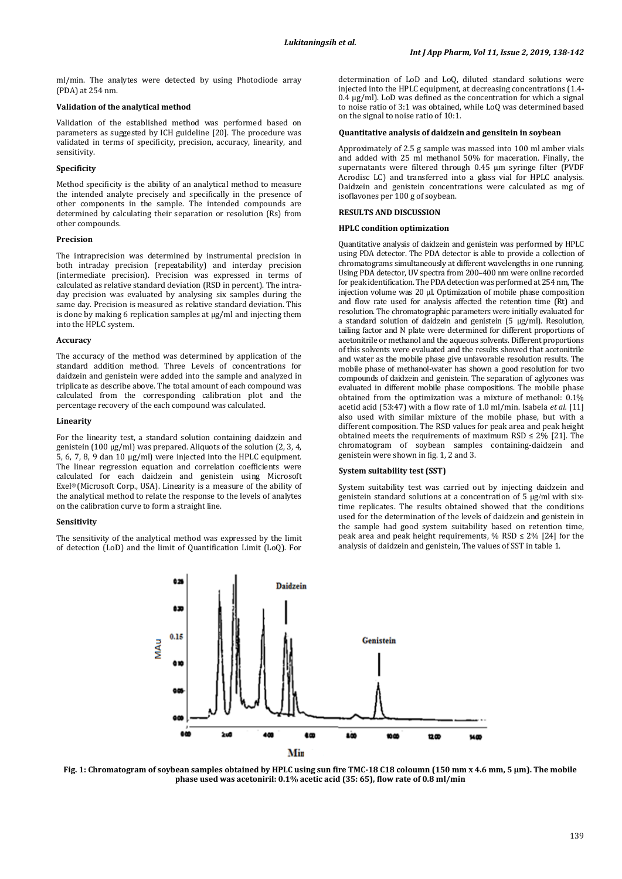ml/min. The analytes were detected by using Photodiode array (PDA) at 254 nm.

### **Validation of the analytical method**

Validation of the established method was performed based on parameters as suggested by ICH guideline [20]. The procedure was validated in terms of specificity, precision, accuracy, linearity, and sensitivity.

# **Specificity**

Method specificity is the ability of an analytical method to measure the intended analyte precisely and specifically in the presence of other components in the sample. The intended compounds are determined by calculating their separation or resolution (Rs) from other compounds.

#### **Precision**

The intraprecision was determined by instrumental precision in both intraday precision (repeatability) and interday precision (intermediate precision). Precision was expressed in terms of calculated as relative standard deviation (RSD in percent). The intraday precision was evaluated by analysing six samples during the same day. Precision is measured as relative standard deviation. This is done by making 6 replication samples at  $\mu$ g/ml and injecting them into the HPLC system.

### **Accuracy**

The accuracy of the method was determined by application of the standard addition method. Three Levels of concentrations for daidzein and genistein were added into the sample and analyzed in triplicate as describe above. The total amount of each compound was calculated from the corresponding calibration plot and the percentage recovery of the each compound was calculated.

#### **Linearity**

For the linearity test, a standard solution containing daidzein and genistein (100 µg/ml) was prepared. Aliquots of the solution (2, 3, 4, 5, 6, 7, 8, 9 dan 10 µg/ml) were injected into the HPLC equipment. The linear regression equation and correlation coefficients were calculated for each daidzein and genistein using Microsoft Exel® (Microsoft Corp., USA). Linearity is a measure of the ability of the analytical method to relate the response to the levels of analytes on the calibration curve to form a straight line.

#### **Sensitivity**

The sensitivity of the analytical method was expressed by the limit of detection (LoD) and the limit of Quantification Limit (LoQ). For

determination of LoD and LoQ, diluted standard solutions were injected into the HPLC equipment, at decreasing concentrations (1.4-  $0.4 \mu g/ml$ . LoD was defined as the concentration for which a signal to noise ratio of 3:1 was obtained, while LoQ was determined based on the signal to noise ratio of 10:1.

### **Quantitative analysis of daidzein and gensitein in soybean**

Approximately of 2.5 g sample was massed into 100 ml amber vials and added with 25 ml methanol 50% for maceration. Finally, the supernatants were filtered through 0.45 µm syringe filter (PVDF Acrodisc LC) and transferred into a glass vial for HPLC analysis. Daidzein and genistein concentrations were calculated as mg of isoflavones per 100 g of soybean.

### **RESULTS AND DISCUSSION**

### **HPLC condition optimization**

Quantitative analysis of daidzein and genistein was performed by HPLC using PDA detector. The PDA detector is able to provide a collection of chromatograms simultaneously at different wavelengths in one running. Using PDA detector, UV spectra from 200–400 nm were online recorded for peak identification. The PDA detection was performed at 254 nm, The injection volume was 20 µl. Optimization of mobile phase composition and flow rate used for analysis affected the retention time (Rt) and resolution. The chromatographic parameters were initially evaluated for a standard solution of daidzein and genistein (5 µg/ml). Resolution, tailing factor and N plate were determined for different proportions of acetonitrile or methanol and the aqueous solvents. Different proportions of this solvents were evaluated and the results showed that acetonitrile and water as the mobile phase give unfavorable resolution results. The mobile phase of methanol-water has shown a good resolution for two compounds of daidzein and genistein. The separation of aglycones was evaluated in different mobile phase compositions. The mobile phase obtained from the optimization was a mixture of methanol: 0.1% acetid acid (53:47) with a flow rate of 1.0 ml/min. Isabela *et al.* [11] also used with similar mixture of the mobile phase, but with a different composition. The RSD values for peak area and peak height obtained meets the requirements of maximum RSD  $\leq$  2% [21]. The chromatogram of soybean samples containing-daidzein and genistein were shown in fig. 1, 2 and 3.

#### **System suitability test (SST)**

System suitability test was carried out by injecting daidzein and genistein standard solutions at a concentration of 5 µg/ml with sixtime replicates. The results obtained showed that the conditions used for the determination of the levels of daidzein and genistein in the sample had good system suitability based on retention time, peak area and peak height requirements, % RSD  $\leq$  2% [24] for the analysis of daidzein and genistein, The values of SST in table 1.



**Fig. 1: Chromatogram of soybean samples obtained by HPLC using sun fire TMC-18 C18 coloumn (150 mm x 4.6 mm, 5 µm). The mobile phase used was acetoniril: 0.1% acetic acid (35: 65), flow rate of 0.8 ml/min**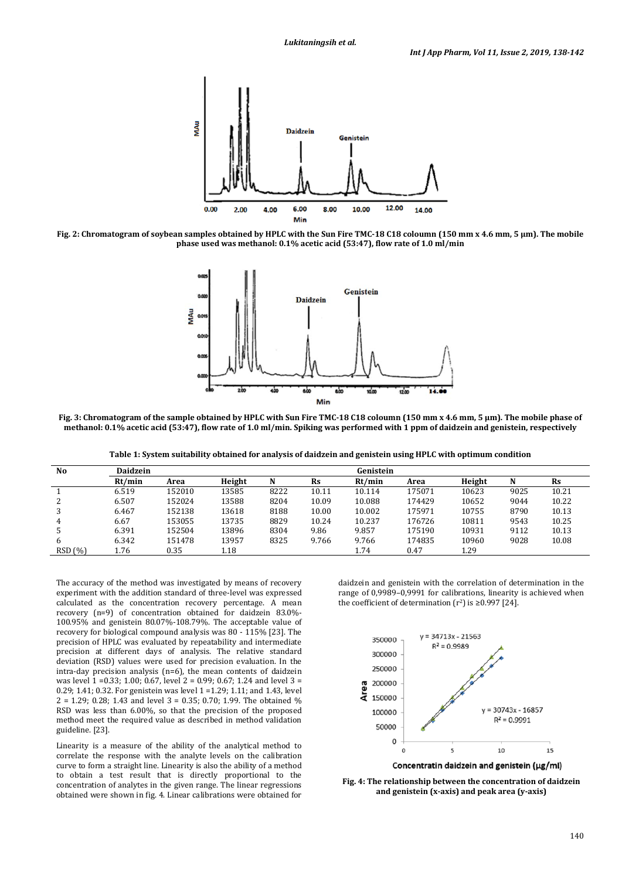

**Fig. 2: Chromatogram of soybean samples obtained by HPLC with the Sun Fire TMC-18 C18 coloumn (150 mm x 4.6 mm, 5 µm). The mobile phase used was methanol: 0.1% acetic acid (53:47), flow rate of 1.0 ml/min**



**Fig. 3: Chromatogram of the sample obtained by HPLC with Sun Fire TMC-18 C18 coloumn (150 mm x 4.6 mm, 5 µm). The mobile phase of methanol: 0.1% acetic acid (53:47), flow rate of 1.0 ml/min. Spiking was performed with 1 ppm of daidzein and genistein, respectively**

**Table 1: System suitability obtained for analysis of daidzein and genistein using HPLC with optimum condition**

| No     | <b>Daidzein</b> |        |        |      |           | Genistein |        |        |      |           |
|--------|-----------------|--------|--------|------|-----------|-----------|--------|--------|------|-----------|
|        | Rt/min          | Area   | Height | N    | <b>Rs</b> | Rt/min    | Area   | Height | N    | <b>Rs</b> |
|        | 6.519           | 152010 | 13585  | 8222 | 10.11     | 10.114    | 175071 | 10623  | 9025 | 10.21     |
|        | 6.507           | 152024 | 13588  | 8204 | 10.09     | 10.088    | 174429 | 10652  | 9044 | 10.22     |
| 3      | 6.467           | 152138 | 13618  | 8188 | 10.00     | 10.002    | 175971 | 10755  | 8790 | 10.13     |
| 4      | 6.67            | 153055 | 13735  | 8829 | 10.24     | 10.237    | 176726 | 10811  | 9543 | 10.25     |
| .5     | 6.391           | 152504 | 13896  | 8304 | 9.86      | 9.857     | 175190 | 10931  | 9112 | 10.13     |
| 6      | 6.342           | 151478 | 13957  | 8325 | 9.766     | 9.766     | 174835 | 10960  | 9028 | 10.08     |
| RSD(%) | 1.76            | 0.35   | 1.18   |      |           | 1.74      | 0.47   | 1.29   |      |           |

The accuracy of the method was investigated by means of recovery experiment with the addition standard of three-level was expressed calculated as the concentration recovery percentage. A mean recovery (n=9) of concentration obtained for daidzein 83.0%- 100.95% and genistein 80.07%-108.79%. The acceptable value of recovery for biological compound analysis was 80 - 115% [23]. The precision of HPLC was evaluated by repeatability and intermediate precision at different days of analysis. The relative standard deviation (RSD) values were used for precision evaluation. In the intra-day precision analysis (n=6), the mean contents of daidzein was level 1 =0.33; 1.00; 0.67, level 2 = 0.99; 0.67; 1.24 and level 3 = 0.29; 1.41; 0.32. For genistein was level 1 =1.29; 1.11; and 1.43, level 2 = 1.29; 0.28; 1.43 and level 3 = 0.35; 0.70; 1.99. The obtained % RSD was less than 6.00%, so that the precision of the proposed method meet the required value as described in method validation guideline. [23].

Linearity is a measure of the ability of the analytical method to correlate the response with the analyte levels on the calibration curve to form a straight line. Linearity is also the ability of a method to obtain a test result that is directly proportional to the concentration of analytes in the given range. The linear regressions obtained were shown in fig. 4. Linear calibrations were obtained for

daidzein and genistein with the correlation of determination in the range of 0,9989–0,9991 for calibrations, linearity is achieved when the coefficient of determination  $(r^2)$  is ≥0.997 [24].



**Fig. 4: The relationship between the concentration of daidzein and genistein (x-axis) and peak area (y-axis)**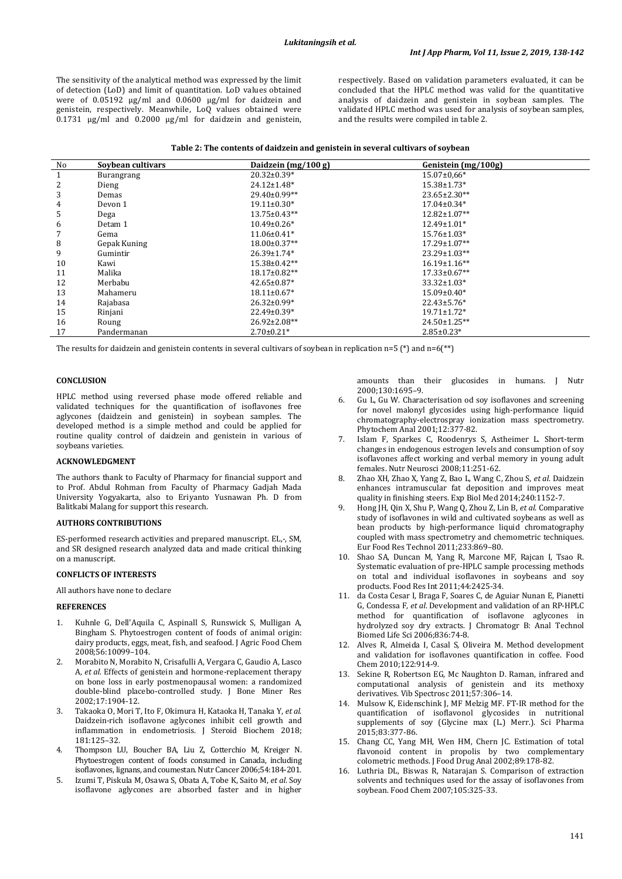The sensitivity of the analytical method was expressed by the limit of detection (LoD) and limit of quantitation. LoD values obtained were of 0.05192 μg/ml and 0.0600 μg/ml for daidzein and genistein, respectively. Meanwhile, LoQ values obtained were 0.1731 μg/ml and 0.2000 μg/ml for daidzein and genistein, respectively. Based on validation parameters evaluated, it can be concluded that the HPLC method was valid for the quantitative analysis of daidzein and genistein in soybean samples. The validated HPLC method was used for analysis of soybean samples, and the results were compiled in table 2.

| No | Soybean cultivars | Daidzein $(mg/100 g)$ | Genistein (mg/100g) |
|----|-------------------|-----------------------|---------------------|
| 1  | <b>Burangrang</b> | $20.32 \pm 0.39*$     | $15.07 \pm 0.66*$   |
| 2  | Dieng             | $24.12 \pm 1.48^*$    | $15.38 \pm 1.73*$   |
| 3  | Demas             | $29.40\pm0.99**$      | $23.65 \pm 2.30**$  |
| 4  | Devon 1           | $19.11 \pm 0.30*$     | $17.04 \pm 0.34*$   |
| 5  | Dega              | $13.75 \pm 0.43**$    | $12.82 \pm 1.07**$  |
| 6  | Detam 1           | $10.49 \pm 0.26*$     | $12.49 \pm 1.01*$   |
|    | Gema              | $11.06 \pm 0.41*$     | $15.76 \pm 1.03*$   |
| 8  | Gepak Kuning      | $18.00 \pm 0.37**$    | $17.29 \pm 1.07**$  |
| 9  | Gumintir          | $26.39 \pm 1.74$ *    | $23.29 \pm 1.03**$  |
| 10 | Kawi              | $15.38 \pm 0.42**$    | $16.19 \pm 1.16$ ** |
| 11 | Malika            | $18.17 \pm 0.82**$    | $17.33 \pm 0.67$ ** |
| 12 | Merbabu           | $42.65 \pm 0.87$ *    | $33.32 \pm 1.03*$   |
| 13 | Mahameru          | $18.11 \pm 0.67$ *    | $15.09 \pm 0.40*$   |
| 14 | Rajabasa          | $26.32 \pm 0.99*$     | $22.43 \pm 5.76*$   |
| 15 | Rinjani           | 22.49±0.39*           | $19.71 \pm 1.72$ *  |
| 16 | Roung             | $26.92 \pm 2.08**$    | $24.50 \pm 1.25$ ** |
| 17 | Pandermanan       | $2.70 \pm 0.21$ *     | $2.85 \pm 0.23*$    |

The results for daidzein and genistein contents in several cultivars of soybean in replication n=5 (\*) and n=6(\*\*)

#### **CONCLUSION**

HPLC method using reversed phase mode offered reliable and validated techniques for the quantification of isoflavones free aglycones (daidzein and genistein) in soybean samples. The developed method is a simple method and could be applied for routine quality control of daidzein and genistein in various of soybeans varieties.

## **ACKNOWLEDGMENT**

The authors thank to Faculty of Pharmacy for financial support and to Prof. Abdul Rohman from Faculty of Pharmacy Gadjah Mada University Yogyakarta, also to Eriyanto Yusnawan Ph. D from Balitkabi Malang for support this research.

#### **AUTHORS CONTRIBUTIONS**

ES-performed research activities and prepared manuscript. EL,-, SM, and SR designed research analyzed data and made critical thinking on a manuscript.

### **CONFLICTS OF INTERESTS**

All authors have none to declare

### **REFERENCES**

- 1. Kuhnle G, Dell'Aquila C, Aspinall S, Runswick S, Mulligan A, Bingham S. Phytoestrogen content of foods of animal origin: dairy products, eggs, meat, fish, and seafood. J Agric Food Chem 2008;56:10099–104.
- 2. Morabito N, [Morabito N,](https://www.mendeley.com/authors/6701671609/) [Crisafulli A,](https://www.mendeley.com/authors/7003981826/) [Vergara C,](https://www.mendeley.com/authors/12040876600/) [Gaudio A,](https://www.mendeley.com/authors/7003311964/) [Lasco](https://www.mendeley.com/authors/7004590943/) [A,](https://www.mendeley.com/authors/7004590943/) *et al*. Effects of genistein and hormone-replacement therapy on bone loss in early postmenopausal women: a randomized double-blind placebo-controlled study. J Bone Miner Res 2002;17:1904-12.
- 3. Takaoka O, Mori T, Ito F, Okimura H, Kataoka H, Tanaka Y, *et al*. Daidzein-rich isoflavone aglycones inhibit cell growth and inflammation in endometriosis. J Steroid Biochem 2018; 181:125–32.
- 4. Thompson LU, Boucher BA, Liu Z, Cotterchio M, Kreiger N. Phytoestrogen content of foods consumed in Canada, including isoflavones, lignans, and coumestan. Nutr Cancer 2006;54:184-201.
- 5. Izumi T, Piskula M, Osawa S, Obata A, Tobe K, Saito M, *et al*. Soy isoflavone aglycones are absorbed faster and in higher

amounts than their glucosides in humans. J Nutr 2000;130:1695–9.

- 6. Gu L, Gu W. Characterisation od soy isoflavones and screening for novel malonyl glycosides using high-performance liquid chromatography-electrospray ionization mass spectrometry. Phytochem Anal 2001;12:377-82.
- 7. Islam F, Sparkes C, Roodenrys S, Astheimer L. Short-term changes in endogenous estrogen levels and consumption of soy isoflavones affect working and verbal memory in young adult females. Nutr Neurosci 2008;11:251-62.
- 8. Zhao XH, [Zhao X,](https://www.mendeley.com/authors/55536458400/) [Yang Z,](https://www.mendeley.com/authors/57161067600/) [Bao L,](https://www.mendeley.com/authors/57162192200/) [Wang C,](https://www.mendeley.com/authors/57162544900/) [Zhou S,](https://www.mendeley.com/authors/57161497000/) *et al*. Daidzein enhances intramuscular fat deposition and improves meat quality in finishing steers. Exp Biol Med 2014;240:1152-7.
- 9. Hong JH, [Qin X,](https://www.mendeley.com/authors/37021802300/) [Shu P,](https://www.mendeley.com/authors/14032093600/) [Wang Q,](https://www.mendeley.com/authors/57069193900/) [Zhou Z,](https://www.mendeley.com/authors/8731670800/) [Lin B,](https://www.mendeley.com/authors/36240005200/) *et al*. Comparative study of isoflavones in wild and cultivated soybeans as well as bean products by high-performance liquid chromatography coupled with mass spectrometry and chemometric techniques. Eur Food Res Technol 2011;233:869–80.
- 10. Shao SA, Duncan M, Yang R, Marcone MF, Rajcan I, Tsao R. Systematic evaluation of pre-HPLC sample processing methods on total and individual isoflavones in soybeans and soy products. Food Res Int 2011;44:2425-34.
- 11. da Costa Cesar I[, Braga F,](https://www.mendeley.com/authors/7006959371/) [Soares C,](https://www.mendeley.com/authors/6602387368/) [de Aguiar Nunan E,](https://www.mendeley.com/authors/13204940800/) [Pianetti](https://www.mendeley.com/authors/16449257500/)  [G,](https://www.mendeley.com/authors/16449257500/) [Condessa F,](https://www.mendeley.com/authors/13205242700/) *et al*. Development and validation of an RP-HPLC method for quantification of isoflavone aglycones in hydrolyzed soy dry extracts. J Chromatogr B: Anal Technol Biomed Life Sci 2006;836:74-8.
- 12. [Alves R,](https://www.mendeley.com/authors/7102691286/) [Almeida I,](https://www.mendeley.com/authors/36061510900/) [Casal S,](https://www.mendeley.com/authors/6701552527/) [Oliveira M.](https://www.mendeley.com/authors/35433496500/) Method development and validation for isoflavones quantification in coffee. Food Chem 2010;122:914-9.
- 13. Sekine R, Robertson EG, Mc Naughton D. Raman, infrared and computational analysis of genistein and its methoxy derivatives. Vib Spectrosc 2011;57:306–14.
- 14. Mulsow K, Eidenschink J, MF Melzig MF. FT-IR method for the quantification of isoflavonol glycosides in nutritional supplements of soy (Glycine max (L.) Merr.). Sci Pharma 2015;83:377-86.
- 15. Chang CC, Yang MH, Wen HM, Chern JC. Estimation of total flavonoid content in propolis by two complementary colometric methods. J Food Drug Anal 2002;89:178-82.
- Luthria DL, Biswas R, Natarajan S. Comparison of extraction solvents and techniques used for the assay of isoflavones from soybean. Food Chem 2007;105:325-33.